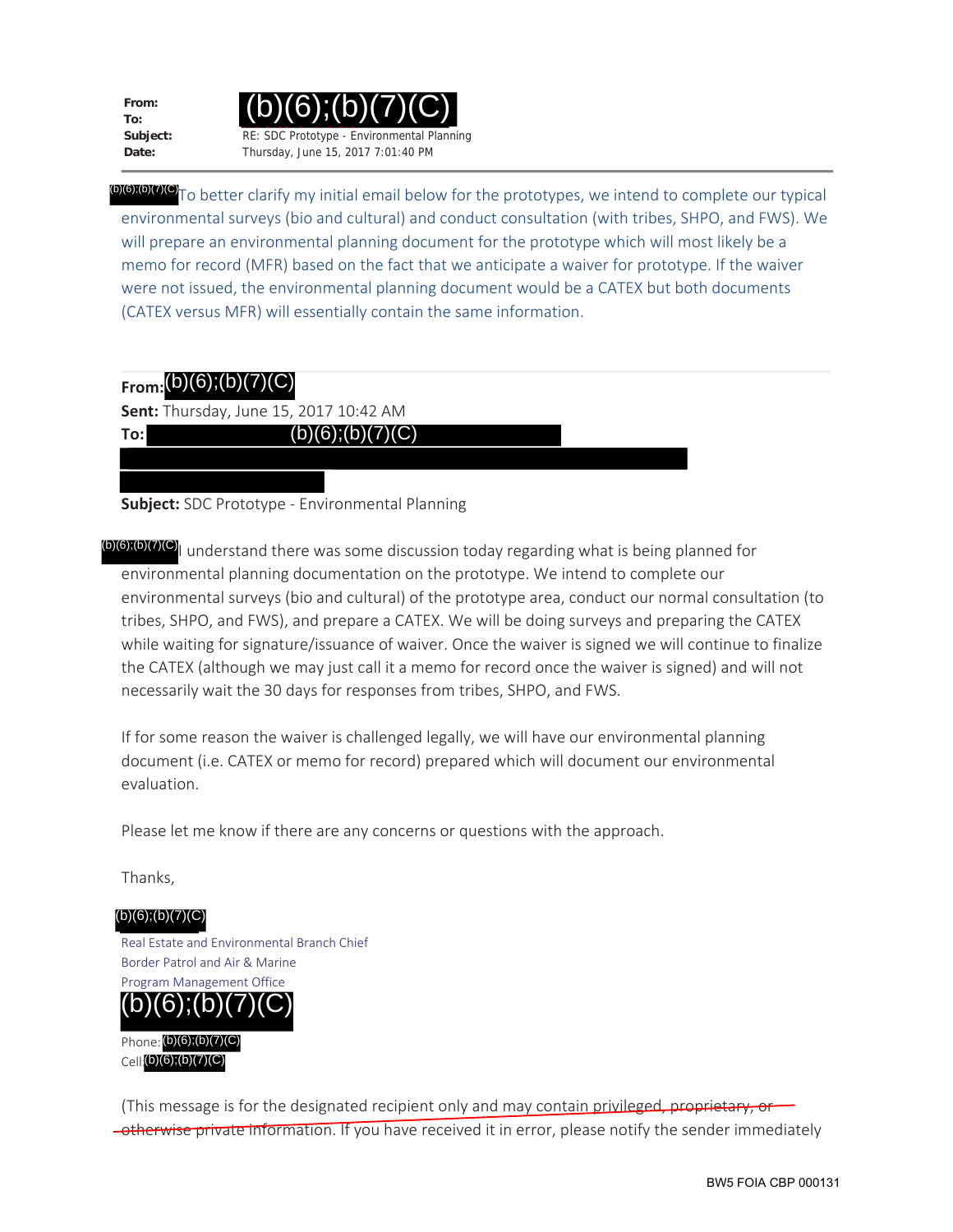**From: To:**

**To:**



(b)(6);(b)(7)(C)To better clarify my initial email below for the prototypes, we intend to complete our typical environmental surveys (bio and cultural) and conduct consultation (with tribes, SHPO, and FWS). We will prepare an environmental planning document for the prototype which will most likely be a memo for record (MFR) based on the fact that we anticipate a waiver for prototype. If the waiver were not issued, the environmental planning document would be a CATEX but both documents (CATEX versus MFR) will essentially contain the same information.

## **From:** (b) (7)(C), (b) (6) (b)(6);(b)(7)(C)

**Sent:** Thursday, June 15, 2017 10:42 AM

 $(b)(6);(b)(7)(C)$ 

**Subject:** SDC Prototype - Environmental Planning

(b)(6);(b)(7)(C)<sub>I</sub> understand there was some discussion today regarding what is being planned for environmental planning documentation on the prototype. We intend to complete our environmental surveys (bio and cultural) of the prototype area, conduct our normal consultation (to tribes, SHPO, and FWS), and prepare a CATEX. We will be doing surveys and preparing the CATEX while waiting for signature/issuance of waiver. Once the waiver is signed we will continue to finalize the CATEX (although we may just call it a memo for record once the waiver is signed) and will not necessarily wait the 30 days for responses from tribes, SHPO, and FWS.

If for some reason the waiver is challenged legally, we will have our environmental planning document (i.e. CATEX or memo for record) prepared which will document our environmental evaluation.

Please let me know if there are any concerns or questions with the approach.

Thanks,

Real Estate and Environmental Branch Chief Border Patrol and Air & Marine Program Management Office Phone: (b)(6);(b)(7)(C) Cell: (b)(6);(b)(7)(C)  $(b)(6)$ ; $(b)(7)(C)$  $(b)(6);(b)(7)(C)$ 

(This message is for the designated recipient only and may contain privileged, proprietary, or **-otherwise private information.** If you have received it in error, please notify the sender immediately